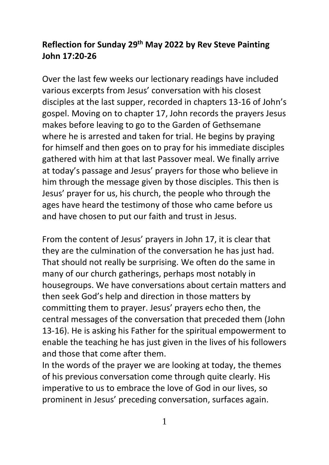## **Reflection for Sunday 29th May 2022 by Rev Steve Painting John 17:20-26**

Over the last few weeks our lectionary readings have included various excerpts from Jesus' conversation with his closest disciples at the last supper, recorded in chapters 13-16 of John's gospel. Moving on to chapter 17, John records the prayers Jesus makes before leaving to go to the Garden of Gethsemane where he is arrested and taken for trial. He begins by praying for himself and then goes on to pray for his immediate disciples gathered with him at that last Passover meal. We finally arrive at today's passage and Jesus' prayers for those who believe in him through the message given by those disciples. This then is Jesus' prayer for us, his church, the people who through the ages have heard the testimony of those who came before us and have chosen to put our faith and trust in Jesus.

From the content of Jesus' prayers in John 17, it is clear that they are the culmination of the conversation he has just had. That should not really be surprising. We often do the same in many of our church gatherings, perhaps most notably in housegroups. We have conversations about certain matters and then seek God's help and direction in those matters by committing them to prayer. Jesus' prayers echo then, the central messages of the conversation that preceded them (John 13-16). He is asking his Father for the spiritual empowerment to enable the teaching he has just given in the lives of his followers and those that come after them.

In the words of the prayer we are looking at today, the themes of his previous conversation come through quite clearly. His imperative to us to embrace the love of God in our lives, so prominent in Jesus' preceding conversation, surfaces again.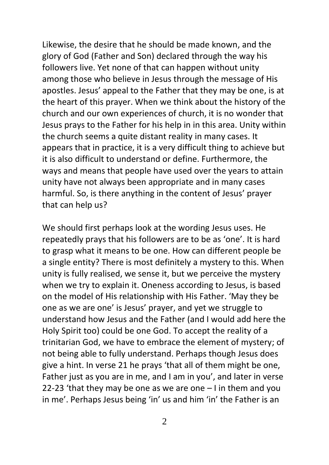Likewise, the desire that he should be made known, and the glory of God (Father and Son) declared through the way his followers live. Yet none of that can happen without unity among those who believe in Jesus through the message of His apostles. Jesus' appeal to the Father that they may be one, is at the heart of this prayer. When we think about the history of the church and our own experiences of church, it is no wonder that Jesus prays to the Father for his help in in this area. Unity within the church seems a quite distant reality in many cases. It appears that in practice, it is a very difficult thing to achieve but it is also difficult to understand or define. Furthermore, the ways and means that people have used over the years to attain unity have not always been appropriate and in many cases harmful. So, is there anything in the content of Jesus' prayer that can help us?

We should first perhaps look at the wording Jesus uses. He repeatedly prays that his followers are to be as 'one'. It is hard to grasp what it means to be one. How can different people be a single entity? There is most definitely a mystery to this. When unity is fully realised, we sense it, but we perceive the mystery when we try to explain it. Oneness according to Jesus, is based on the model of His relationship with His Father. 'May they be one as we are one' is Jesus' prayer, and yet we struggle to understand how Jesus and the Father (and I would add here the Holy Spirit too) could be one God. To accept the reality of a trinitarian God, we have to embrace the element of mystery; of not being able to fully understand. Perhaps though Jesus does give a hint. In verse 21 he prays 'that all of them might be one, Father just as you are in me, and I am in you', and later in verse 22-23 'that they may be one as we are one – I in them and you in me'. Perhaps Jesus being 'in' us and him 'in' the Father is an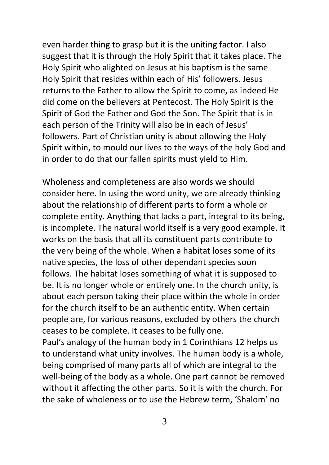even harder thing to grasp but it is the uniting factor. I also suggest that it is through the Holy Spirit that it takes place. The Holy Spirit who alighted on Jesus at his baptism is the same Holy Spirit that resides within each of His' followers. Jesus returns to the Father to allow the Spirit to come, as indeed He did come on the believers at Pentecost. The Holy Spirit is the Spirit of God the Father and God the Son. The Spirit that is in each person of the Trinity will also be in each of Jesus' followers. Part of Christian unity is about allowing the Holy Spirit within, to mould our lives to the ways of the holy God and in order to do that our fallen spirits must yield to Him.

Wholeness and completeness are also words we should consider here. In using the word unity, we are already thinking about the relationship of different parts to form a whole or complete entity. Anything that lacks a part, integral to its being, is incomplete. The natural world itself is a very good example. It works on the basis that all its constituent parts contribute to the very being of the whole. When a habitat loses some of its native species, the loss of other dependant species soon follows. The habitat loses something of what it is supposed to be. It is no longer whole or entirely one. In the church unity, is about each person taking their place within the whole in order for the church itself to be an authentic entity. When certain people are, for various reasons, excluded by others the church ceases to be complete. It ceases to be fully one.

Paul's analogy of the human body in 1 Corinthians 12 helps us to understand what unity involves. The human body is a whole, being comprised of many parts all of which are integral to the well-being of the body as a whole. One part cannot be removed without it affecting the other parts. So it is with the church. For the sake of wholeness or to use the Hebrew term, 'Shalom' no